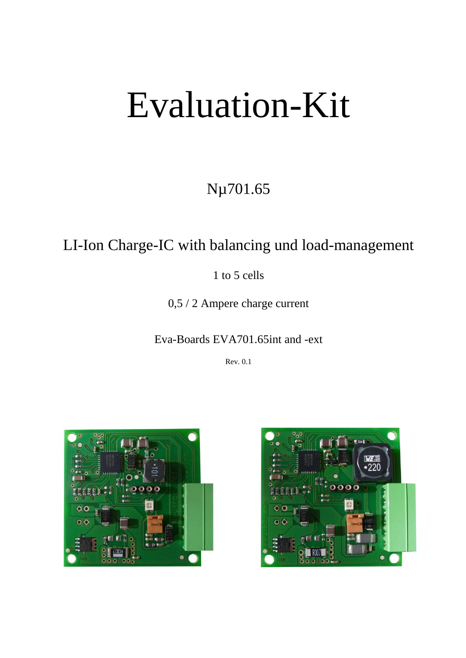# Evaluation-Kit

# Nµ701.65

## LI-Ion Charge-IC with balancing und load-management

1 to 5 cells

0,5 / 2 Ampere charge current

## Eva-Boards EVA701.65int and -ext

Rev. 0.1



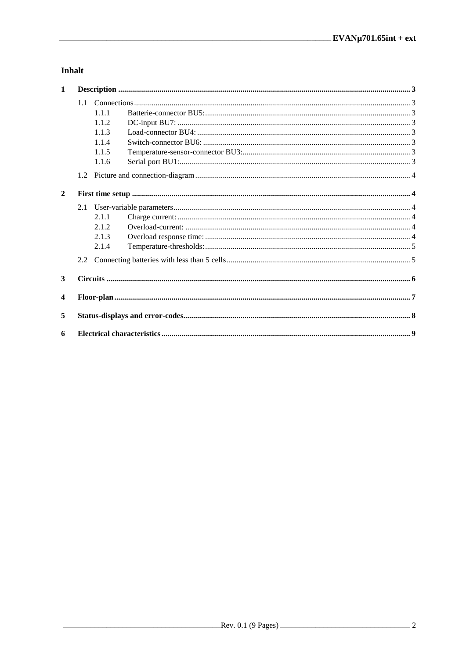## Inhalt

| $\mathbf{1}$   |       |  |
|----------------|-------|--|
|                |       |  |
|                | 1.1.1 |  |
|                | 1.1.2 |  |
|                | 1.1.3 |  |
|                | 1.1.4 |  |
|                | 1.1.5 |  |
|                | 1.1.6 |  |
|                |       |  |
| $\overline{2}$ |       |  |
|                |       |  |
|                | 2.1.1 |  |
|                | 2.1.2 |  |
|                | 2.1.3 |  |
|                | 2.1.4 |  |
|                |       |  |
| 3              |       |  |
| 4              |       |  |
| 5              |       |  |
| 6              |       |  |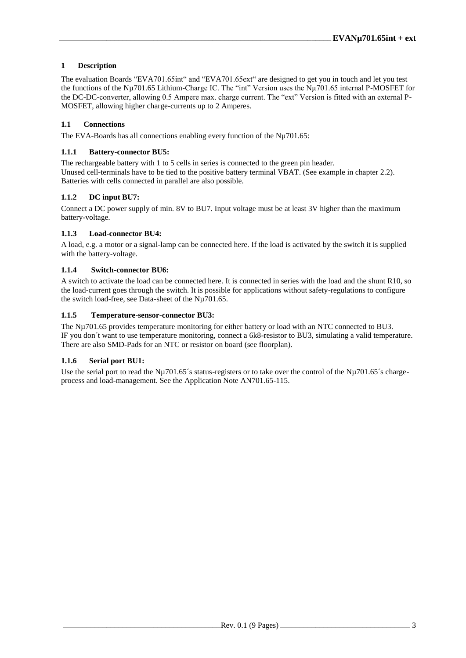#### **1 Description**

The evaluation Boards "EVA701.65int" and "EVA701.65ext" are designed to get you in touch and let you test the functions of the Nµ701.65 Lithium-Charge IC. The "int" Version uses the Nµ701.65 internal P-MOSFET for the DC-DC-converter, allowing 0.5 Ampere max. charge current. The "ext" Version is fitted with an external P-MOSFET, allowing higher charge-currents up to 2 Amperes.

#### **1.1 Connections**

The EVA-Boards has all connections enabling every function of the Nu701.65:

#### **1.1.1 Battery-connector BU5:**

The rechargeable battery with 1 to 5 cells in series is connected to the green pin header. Unused cell-terminals have to be tied to the positive battery terminal VBAT. (See example in chapter [2.2\)](#page-4-0). Batteries with cells connected in parallel are also possible.

#### **1.1.2 DC input BU7:**

Connect a DC power supply of min. 8V to BU7. Input voltage must be at least 3V higher than the maximum battery-voltage.

#### **1.1.3 Load-connector BU4:**

A load, e.g. a motor or a signal-lamp can be connected here. If the load is activated by the switch it is supplied with the battery-voltage.

#### **1.1.4 Switch-connector BU6:**

A switch to activate the load can be connected here. It is connected in series with the load and the shunt R10, so the load-current goes through the switch. It is possible for applications without safety-regulations to configure the switch load-free, see Data-sheet of the Nµ701.65.

#### **1.1.5 Temperature-sensor-connector BU3:**

The Nµ701.65 provides temperature monitoring for either battery or load with an NTC connected to BU3. IF you don´t want to use temperature monitoring, connect a 6k8-resistor to BU3, simulating a valid temperature. There are also SMD-Pads for an NTC or resistor on board (see floorplan).

#### **1.1.6 Serial port BU1:**

Use the serial port to read the Nµ701.65´s status-registers or to take over the control of the Nµ701.65´s chargeprocess and load-management. See the Application Note AN701.65-115.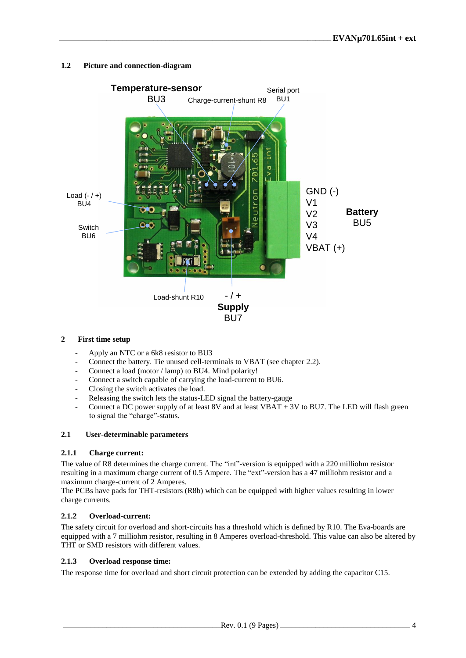#### **1.2 Picture and connection-diagram**



#### **2 First time setup**

- Apply an NTC or a 6k8 resistor to BU3
- Connect the battery. Tie unused cell-terminals to VBAT (see chapter [2.2\)](#page-4-0).
- Connect a load (motor / lamp) to BU4. Mind polarity!
- Connect a switch capable of carrying the load-current to BU6.
- Closing the switch activates the load.
- Releasing the switch lets the status-LED signal the battery-gauge
- Connect a DC power supply of at least 8V and at least VBAT + 3V to BU7. The LED will flash green to signal the "charge"-status.

#### **2.1 User-determinable parameters**

#### **2.1.1 Charge current:**

The value of R8 determines the charge current. The "int"-version is equipped with a 220 milliohm resistor resulting in a maximum charge current of 0.5 Ampere. The "ext"-version has a 47 milliohm resistor and a maximum charge-current of 2 Amperes.

The PCBs have pads for THT-resistors (R8b) which can be equipped with higher values resulting in lower charge currents.

#### **2.1.2 Overload-current:**

The safety circuit for overload and short-circuits has a threshold which is defined by R10. The Eva-boards are equipped with a 7 milliohm resistor, resulting in 8 Amperes overload-threshold. This value can also be altered by THT or SMD resistors with different values.

#### **2.1.3 Overload response time:**

The response time for overload and short circuit protection can be extended by adding the capacitor C15.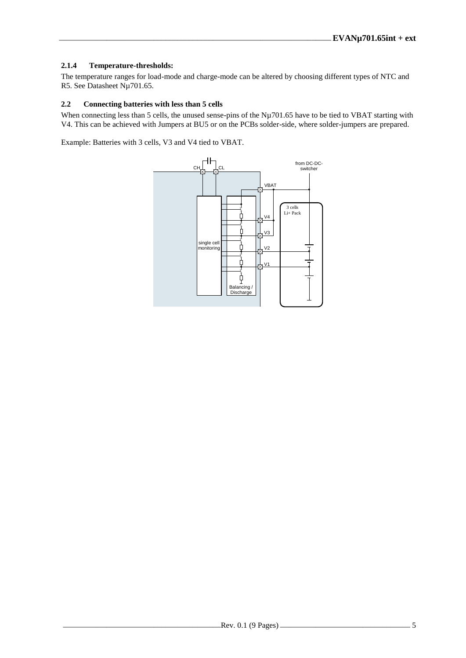#### **2.1.4 Temperature-thresholds:**

The temperature ranges for load-mode and charge-mode can be altered by choosing different types of NTC and R5. See Datasheet Nµ701.65.

#### <span id="page-4-0"></span>**2.2 Connecting batteries with less than 5 cells**

When connecting less than 5 cells, the unused sense-pins of the Nµ701.65 have to be tied to VBAT starting with V4. This can be achieved with Jumpers at BU5 or on the PCBs solder-side, where solder-jumpers are prepared.

Example: Batteries with 3 cells, V3 and V4 tied to VBAT.

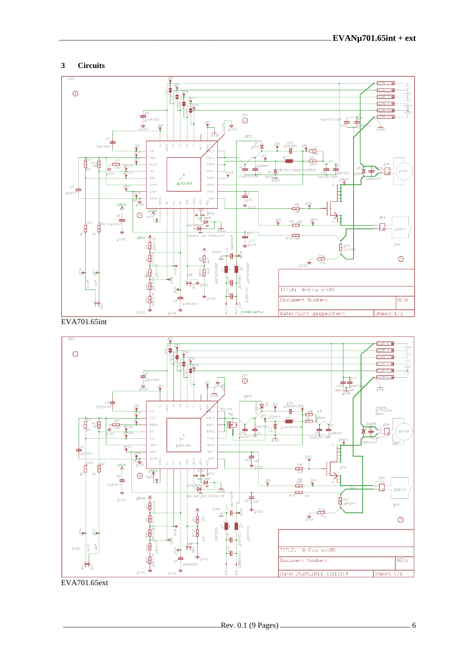#### $\overline{3}$ **Circuits**



EVA701.65int



EVA701.65ext

 $\frac{1}{2}$  6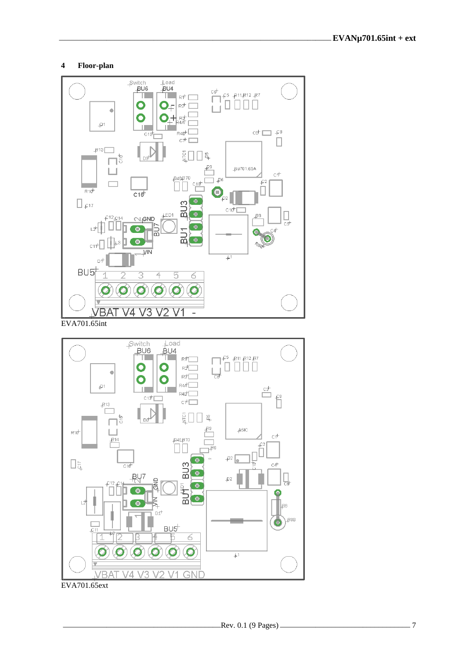#### $\overline{\mathbf{4}}$ Floor-plan





EVA701.65ext

 $-7$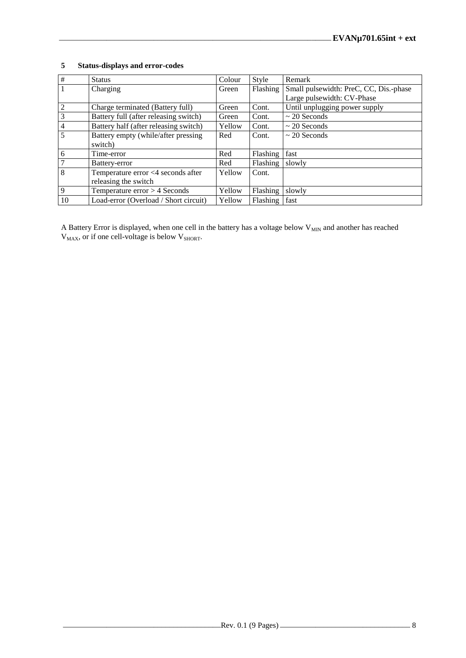| #               | <b>Status</b>                         | Colour | Style    | Remark                                 |
|-----------------|---------------------------------------|--------|----------|----------------------------------------|
| $\overline{1}$  | Charging                              | Green  | Flashing | Small pulsewidth: PreC, CC, Dis.-phase |
|                 |                                       |        |          | Large pulsewidth: CV-Phase             |
| $\overline{2}$  | Charge terminated (Battery full)      | Green  | Cont.    | Until unplugging power supply          |
| $\overline{3}$  | Battery full (after releasing switch) | Green  | Cont.    | $\sim$ 20 Seconds                      |
| $\overline{4}$  | Battery half (after releasing switch) | Yellow | Cont.    | $\sim$ 20 Seconds                      |
| $\overline{5}$  | Battery empty (while/after pressing   | Red    | Cont.    | $\sim$ 20 Seconds                      |
|                 | switch)                               |        |          |                                        |
| $6\overline{6}$ | Time-error                            | Red    | Flashing | fast                                   |
| $\overline{7}$  | Battery-error                         | Red    | Flashing | slowly                                 |
| $\overline{8}$  | Temperature error <4 seconds after    | Yellow | Cont.    |                                        |
|                 | releasing the switch                  |        |          |                                        |
| $\overline{9}$  | Temperature $error > 4$ Seconds       | Yellow | Flashing | slowly                                 |
| 10              | Load-error (Overload / Short circuit) | Yellow | Flashing | fast                                   |

#### **5 Status-displays and error-codes**

A Battery Error is displayed, when one cell in the battery has a voltage below  $V_{MIN}$  and another has reached  $V_{MAX}$ , or if one cell-voltage is below  $V_{SHORT}$ .